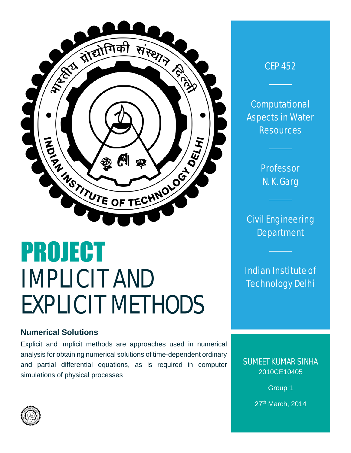

# PROJECT IMPLICIT AND EXPLICIT METHODS

## **Numerical Solutions**

Explicit and implicit methods are approaches used in numerical analysis for obtaining numerical solutions of time-dependent ordinary and partial differential equations, as is required in computer simulations of physical processes

## CEP 452

**Computational** Aspects in Water **Resources** 

> Professor N. K. Garg

Civil Engineering **Department** 

Indian Institute of Technology Delhi

SUMEET KUMAR SINHA 2010CE10405

> Group 1 27th March, 2014

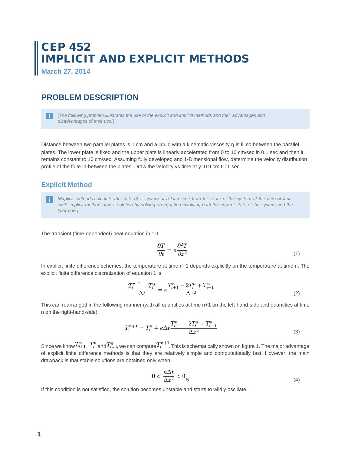## CEP 452 IMPLICIT AND EXPLICIT METHODS

**March 27, 2014**

## **PROBLEM DESCRIPTION**

[*The following problem illustrates the use of the explicit and implicit methods and their advantages and disadvantages of their use.*]

Distance between two parallel plates is 1 cm and a liquid with a kinematic viscosity η is filled between the parallel plates. The lower plate is fixed and the upper plate is linearly accelerated from 0 to 10 cm/sec in 0.1 sec and then it remains constant to 10 cm/sec. Assuming fully developed and 1-Dimensional flow, determine the velocity distribution profile of the flute in-between the plates. Draw the velocity vs time at y=0.9 cm till 1 sec

## **Explicit Method**

*[Explicit methods calculate the state of a system at a later time from the state of the system at the current time,*  n l *while implicit methods find a solution by solving an equation involving both the current state of the system and the later one.]*

The transient (time-dependent) heat equation in 1D

$$
\frac{\partial T}{\partial t} = \kappa \frac{\partial^2 T}{\partial x^2} \tag{1}
$$

In explicit finite difference schemes, the temperature at time n+1 depends explicitly on the temperature at time n. The explicit finite difference discretization of equation 1 is

$$
\frac{T_i^{n+1} - T_i^n}{\Delta t} = \kappa \frac{T_{i+1}^n - 2T_i^n + T_{i-1}^n}{\Delta x^2} \tag{2}
$$

This can rearranged in the following manner (with all quantities at time n+1 on the left-hand-side and quantities at time n on the right-hand-side)

$$
T_i^{n+1} = T_i^n + \kappa \Delta t \frac{T_{i+1}^n - 2T_i^n + T_{i-1}^n}{\Delta x^2}
$$
\n(3)

Since we know  $T_{i+1}^n$ ,  $T_i^n$  and  $T_{i-1}^n$ , we can compute  $T_i^{n+1}$ . This is schematically shown on figure 1. The major advantage of explicit finite difference methods is that they are relatively simple and computationally fast. However, the main drawback is that stable solutions are obtained only when

$$
0 < \frac{\kappa \Delta t}{\Delta x^2} < 0.5 \tag{4}
$$

If this condition is not satisfied, the solution becomes unstable and starts to wildly oscillate.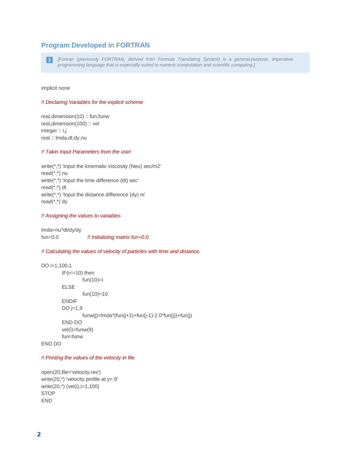## **Program Developed in FORTRAN**

*[Fortran (previously FORTRAN, derived from Formula Translating System) is a general-purpose, imperative programming language that is especially suited to numeric computation and scientific computing.]*

implicit none

#### *!! Declaring Variables for the explicit scheme*

real,dimension(10) :: fun,funw real,dimension(100) :: vel integer :: i,j real :: lmda,dt,dy,nu

#### *!! Takin Input Parameters from the user*

write(\*,\*) 'Input the kinematic viscosity (Neu) sec/m2' read(\*,\*) nu write(\*,\*) 'Input the time difference (dt) sec' read(\*,\*) dt write(\*,\*) 'Input the distance difference (dy) m' read(\*,\*) dy

#### *!! Assigning the values to variables*

lmda=nu\*dt/dy/dy fun=0.0 *!! Initializing matrix fun=0.0*

#### *!! Calculating the values of velocity of particles with time and distance*

```
DO i=1,100,1
         IF(i<=10) then
                  fun(10)=iELSE
                  fun(10)=10ENDIF
         DO j=1,9funw(i)=\text{Imda}^{*}(fun(i+1)+fun(i-1)-2.0^{*}fun(i))+fun(i)END DO
         vel(i)=funw(9)
         fun=funw
END DO
```
#### *!! Printing the values of the velocity in file*

open(20,file='velocity.res') write(20, $*$ ) 'velocity profile at  $y=0$ . write(20,\*) (vel(i),i=1,100) **STOP** END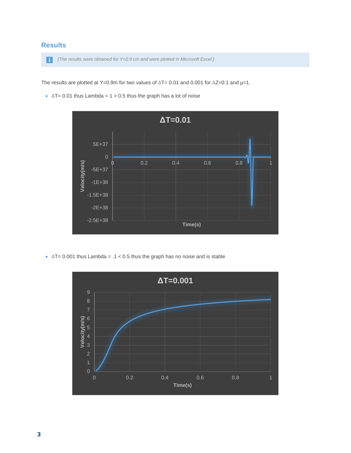## **Results**

*[The results were obtained for Y=0.9 cm and were plotted in Microsoft Excel ]*

The results are plotted at Y=0.9m for two values of ∆T= 0.01 and 0.001 for ∆Z=0.1 and µ=1.

•  $\Delta T = 0.01$  thus Lambda = 1 > 0.5 thus the graph has a lot of noise



• ∆T= 0.001 thus Lambda = .1 < 0.5 thus the graph has no noise and is stable

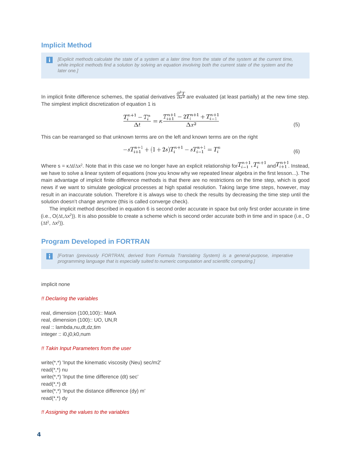#### **Implicit Method**

*[Explicit methods calculate the state of a system at a later time from the state of the system at the current time, while implicit methods find a solution by solving an equation involving both the current state of the system and the later one.]*

In implicit finite difference schemes, the spatial derivatives  $\frac{\partial^2 T}{\partial x^2}$  are evaluated (at least partially) at the new time step. The simplest implicit discretization of equation 1 is

$$
\frac{T_i^{n+1} - T_i^n}{\Delta t} = \kappa \frac{T_{i+1}^{n+1} - 2T_i^{n+1} + T_{i-1}^{n+1}}{\Delta x^2} \tag{5}
$$

This can be rearranged so that unknown terms are on the left and known terms are on the right

$$
-sT_{i+1}^{n+1} + (1+2s)T_i^{n+1} - sT_{i-1}^{n+1} = T_i^n
$$
\n
$$
(6)
$$

Where s =  $\kappa \Delta t / \Delta x^2$ . Note that in this case we no longer have an explicit relationship for  $T_{i-1}^{n+1}$ ,  $T_i^{n+1}$  and  $T_{i+1}^{n+1}$ . Instead, we have to solve a linear system of equations (now you know why we repeated linear algebra in the first lesson...). The main advantage of implicit finite difference methods is that there are no restrictions on the time step, which is good news if we want to simulate geological processes at high spatial resolution. Taking large time steps, however, may result in an inaccurate solution. Therefore it is always wise to check the results by decreasing the time step until the solution doesn't change anymore (this is called converge check).

The implicit method described in equation 6 is second order accurate in space but only first order accurate in time (i.e., O(∆t,∆x2)). It is also possible to create a scheme which is second order accurate both in time and in space (i.e., O  $(\Delta t^2, \Delta x^2)$ ).

## **Program Developed in FORTRAN**

*[Fortran (previously FORTRAN, derived from Formula Translating System) is a general-purpose, imperative programming language that is especially suited to numeric computation and scientific computing.]*

implicit none

#### *!! Declaring the variables*

real, dimension (100,100):: MatA real, dimension (100):: UO, UN,R real :: lambda,nu,dt,dz,tim integer :: i0,j0,k0,num

#### *!! Takin Input Parameters from the user*

write(\*,\*) 'Input the kinematic viscosity (Neu) sec/m2' read(\*,\*) nu write(\*,\*) 'Input the time difference (dt) sec' read(\*,\*) dt write(\*,\*) 'Input the distance difference (dy) m' read(\*,\*) dy

*!! Assigning the values to the variables*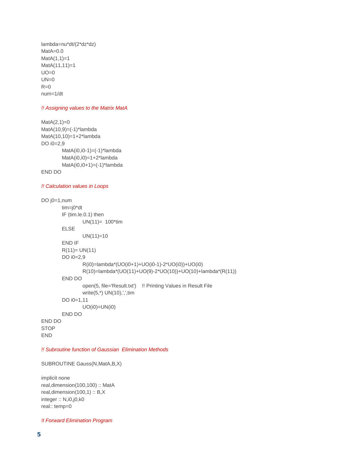lambda=nu\*dt/(2\*dz\*dz) MatA=0.0  $MatA(1,1)=1$ MatA(11,11)=1  $UO=0$  $UN=0$  $R=0$ num=1/dt

#### *!! Assigning values to the Matrix MatA*

```
MatA(2,1)=0MatA(10,9) = (-1)^*lambda
MatA(10,10)=1+2*lambda
DO i0=2.9MatA(i0,i0-1)=(-1)*lambda
        MatA(i0,i0)=1+2*lambda
        MatA(i0,i0+1)=(-1)*lambda
END DO
```
#### *!! Calculation values in Loops*

```
DO j0=1,num
        tim=j0*dt
        IF (tim.le.0.1) then
                UN(11)= 100*tim
        ELSE
                UN(11)=10END IF
        R(11) = UN(11)DO i0=2,9
                R(i0)=lambda*(UO(i0+1)+UO(i0-1)-2*UO(i0))+UO(i0)
                R(10)=lambda*(UO(11)+UO(9)-2*UO(10))+UO(10)+lambda*(R(11))
        END DO
                open(5, file='Result.txt') !! Printing Values in Result File
                write(5,*) UN(10),',',tim
        DO i0=1,11
                UO(i0)=UN(i0)
        END DO
END DO
STOP
END
```
*!! Subroutine function of Gaussian Elimination Methods* 

SUBROUTINE Gauss(N,MatA,B,X)

implicit none real,dimension(100,100) :: MatA real,dimension(100,1) :: B,X integer :: N,i0,j0,k0 real:: temp=0

*!I Forward Elimination Program*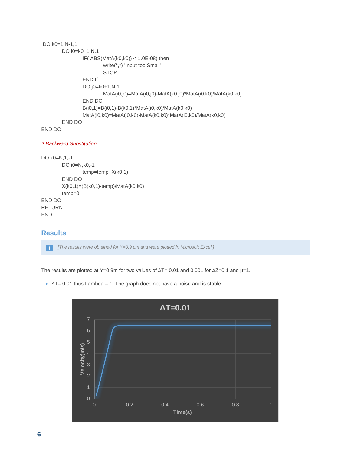```
DO k0=1,N-1,1
        DO i0=k0+1,N,1
                 IF(ABS(MatA(k0,k0)) < 1.0E-08) then
                         write(*,*) 'Input too Small'
                         STOP
                 END If
                 DO j0=k0+1,N,1
                         MatA(i0,j0)=MatA(i0,j0)-MatA(k0,j0)*MatA(i0,k0)/MatA(k0,k0)
                 END DO
                 B(i0,1)=B(i0,1)-B(k0,1)*MatA(i0,k0)/MatA(k0,k0)
                 MatA(i0,k0)=MatA(i0,k0)-MatA(k0,k0)*MatA(i0,k0)/MatA(k0,k0); 
        END DO
END DO
```

```
!! Backward Substitution
```

```
DO k0=N,1,-1 
        DO i0=N,k0,-1 
               temp=temp+X(k0,1)
        END DO
        X(k0,1)=(B(k0,1)-temp)/Math( k0, k0)temp=0
END DO
RETURN
END
```
## **Results**

*[The results were obtained for Y=0.9 cm and were plotted in Microsoft Excel ]* l i I

The results are plotted at Y=0.9m for two values of ∆T= 0.01 and 0.001 for ∆Z=0.1 and µ=1.

 $\triangle$  ∆T= 0.01 thus Lambda = 1. The graph does not have a noise and is stable